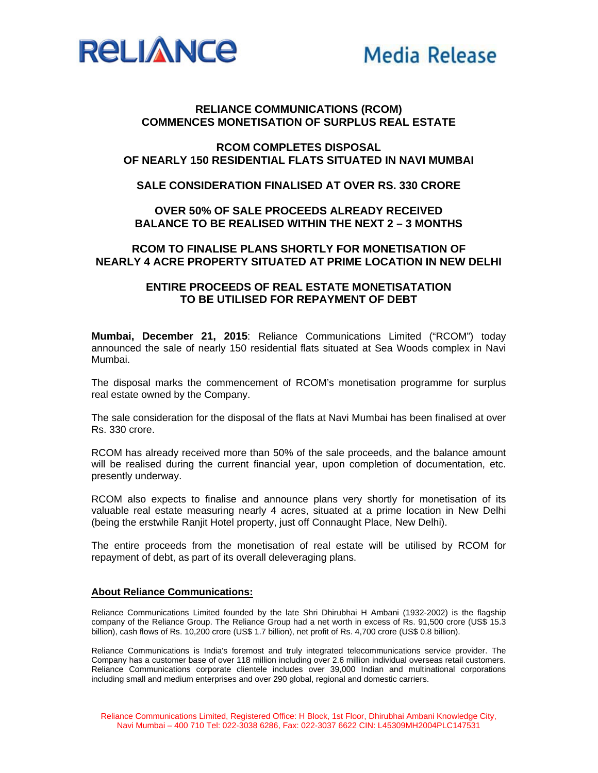



## **RELIANCE COMMUNICATIONS (RCOM) COMMENCES MONETISATION OF SURPLUS REAL ESTATE**

## **RCOM COMPLETES DISPOSAL OF NEARLY 150 RESIDENTIAL FLATS SITUATED IN NAVI MUMBAI**

#### **SALE CONSIDERATION FINALISED AT OVER RS. 330 CRORE**

## **OVER 50% OF SALE PROCEEDS ALREADY RECEIVED BALANCE TO BE REALISED WITHIN THE NEXT 2 – 3 MONTHS**

# **RCOM TO FINALISE PLANS SHORTLY FOR MONETISATION OF NEARLY 4 ACRE PROPERTY SITUATED AT PRIME LOCATION IN NEW DELHI**

### **ENTIRE PROCEEDS OF REAL ESTATE MONETISATATION TO BE UTILISED FOR REPAYMENT OF DEBT**

**Mumbai, December 21, 2015**: Reliance Communications Limited ("RCOM") today announced the sale of nearly 150 residential flats situated at Sea Woods complex in Navi Mumbai.

The disposal marks the commencement of RCOM's monetisation programme for surplus real estate owned by the Company.

The sale consideration for the disposal of the flats at Navi Mumbai has been finalised at over Rs. 330 crore.

RCOM has already received more than 50% of the sale proceeds, and the balance amount will be realised during the current financial year, upon completion of documentation, etc. presently underway.

RCOM also expects to finalise and announce plans very shortly for monetisation of its valuable real estate measuring nearly 4 acres, situated at a prime location in New Delhi (being the erstwhile Ranjit Hotel property, just off Connaught Place, New Delhi).

The entire proceeds from the monetisation of real estate will be utilised by RCOM for repayment of debt, as part of its overall deleveraging plans.

#### **About Reliance Communications:**

Reliance Communications Limited founded by the late Shri Dhirubhai H Ambani (1932-2002) is the flagship company of the Reliance Group. The Reliance Group had a net worth in excess of Rs. 91,500 crore (US\$ 15.3 billion), cash flows of Rs. 10,200 crore (US\$ 1.7 billion), net profit of Rs. 4,700 crore (US\$ 0.8 billion).

Reliance Communications is India's foremost and truly integrated telecommunications service provider. The Company has a customer base of over 118 million including over 2.6 million individual overseas retail customers. Reliance Communications corporate clientele includes over 39,000 Indian and multinational corporations including small and medium enterprises and over 290 global, regional and domestic carriers.